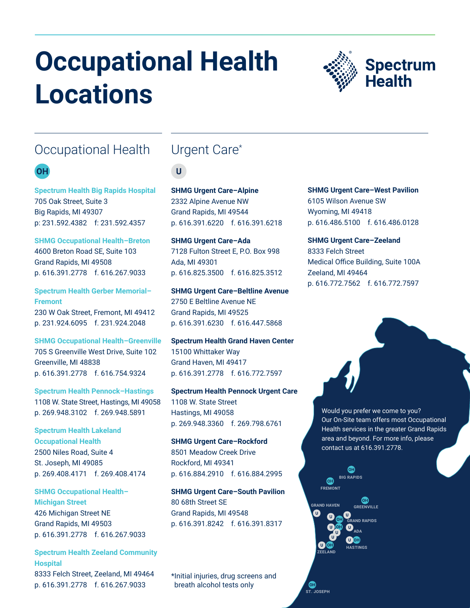# **Occupational Health Locations**



# Occupational Health

### **OH**

**Spectrum Health Big Rapids Hospital** 705 Oak Street, Suite 3 Big Rapids, MI 49307 p: 231.592.4382 f: 231.592.4357

**SHMG Occupational Health–Breton** 4600 Breton Road SE, Suite 103 Grand Rapids, MI 49508 p. 616.391.2778 f. 616.267.9033

**Spectrum Health Gerber Memorial– Fremont** 230 W Oak Street, Fremont, MI 49412 p. 231.924.6095 f. 231.924.2048

**SHMG Occupational Health–Greenville** 705 S Greenville West Drive, Suite 102 Greenville, MI 48838 p. 616.391.2778 f. 616.754.9324

**Spectrum Health Pennock–Hastings** 1108 W. State Street, Hastings, MI 49058 p. 269.948.3102 f. 269.948.5891

**Spectrum Health Lakeland Occupational Health** 2500 Niles Road, Suite 4 St. Joseph, MI 49085 p. 269.408.4171 f. 269.408.4174

**SHMG Occupational Health– Michigan Street** 426 Michigan Street NE Grand Rapids, MI 49503 p. 616.391.2778 f. 616.267.9033

#### **Spectrum Health Zeeland Community Hospital** 8333 Felch Street, Zeeland, MI 49464

p. 616.391.2778 f. 616.267.9033

# Urgent Care\*

 $\mathbf U$ 

**SHMG Urgent Care–Alpine** 2332 Alpine Avenue NW Grand Rapids, MI 49544 p. 616.391.6220 f. 616.391.6218

**SHMG Urgent Care–Ada** 7128 Fulton Street E, P.O. Box 998 Ada, MI 49301 p. 616.825.3500 f. 616.825.3512

**SHMG Urgent Care–Beltline Avenue** 2750 E Beltline Avenue NE Grand Rapids, MI 49525 p. 616.391.6230 f. 616.447.5868

**Spectrum Health Grand Haven Center** 15100 Whittaker Way Grand Haven, MI 49417 p. 616.391.2778 f. 616.772.7597

**Spectrum Health Pennock Urgent Care** 1108 W. State Street Hastings, MI 49058 p. 269.948.3360 f. 269.798.6761

**SHMG Urgent Care–Rockford** 8501 Meadow Creek Drive Rockford, MI 49341 p. 616.884.2910 f. 616.884.2995

**SHMG Urgent Care–South Pavilion** 80 68th Street SE Grand Rapids, MI 49548 p. 616.391.8242 f. 616.391.8317

\*Initial injuries, drug screens and breath alcohol tests only

**SHMG Urgent Care–West Pavilion** 6105 Wilson Avenue SW Wyoming, MI 49418 p. 616.486.5100 f. 616.486.0128

**SHMG Urgent Care–Zeeland** 8333 Felch Street Medical Office Building, Suite 100A Zeeland, MI 49464 p. 616.772.7562 f. 616.772.7597

> Would you prefer we come to you? Our On-Site team offers most Occupational Health services in the greater Grand Rapids area and beyond. For more info, please contact us at 616.391.2778.



**CH**<br>ST. JOSEPH